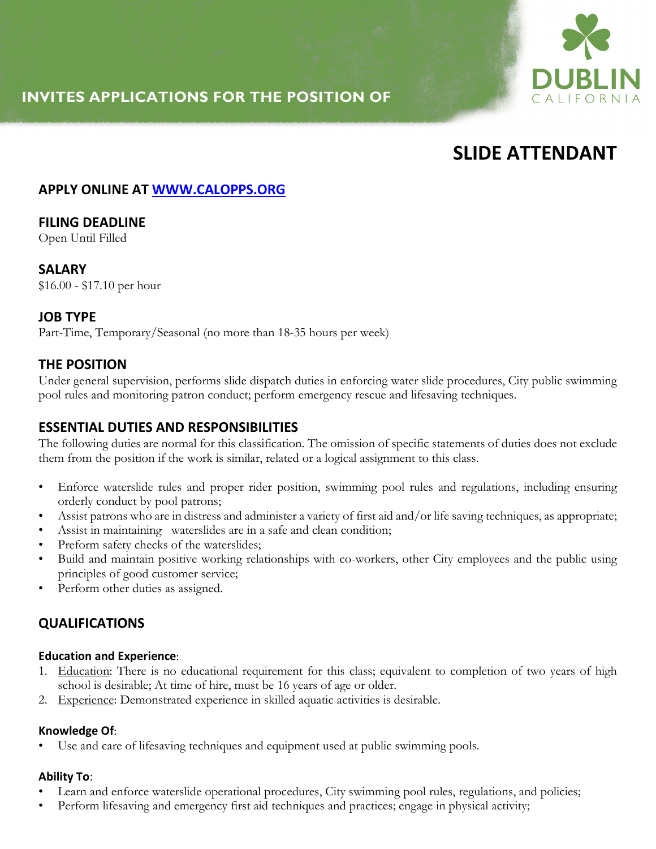# **INVITES APPLICATIONS FOR THE POSITION OF**



# **SLIDE ATTENDANT**

# **APPLY ONLINE AT WWW.CALOPPS.ORG**

# **FILING DEADLINE**

Open Until Filled

## **SALARY**

\$16.00 - \$17.10 per hour

## **JOB TYPE**

Part-Time, Temporary/Seasonal (no more than 18-35 hours per week)

# **THE POSITION**

Under general supervision, performs slide dispatch duties in enforcing water slide procedures, City public swimming pool rules and monitoring patron conduct; perform emergency rescue and lifesaving techniques.

# **ESSENTIAL DUTIES AND RESPONSIBILITIES**

The following duties are normal for this classification. The omission of specific statements of duties does not exclude them from the position if the work is similar, related or a logical assignment to this class.

- Enforce waterslide rules and proper rider position, swimming pool rules and regulations, including ensuring orderly conduct by pool patrons;
- Assist patrons who are in distress and administer a variety of first aid and/or life saving techniques, as appropriate;
- Assist in maintaining waterslides are in a safe and clean condition;
- Preform safety checks of the waterslides;
- Build and maintain positive working relationships with co-workers, other City employees and the public using principles of good customer service;
- Perform other duties as assigned.

# **QUALIFICATIONS**

#### **Education and Experience**:

- 1. Education: There is no educational requirement for this class; equivalent to completion of two years of high school is desirable; At time of hire, must be 16 years of age or older.
- 2. Experience: Demonstrated experience in skilled aquatic activities is desirable.

#### **Knowledge Of**:

Use and care of lifesaving techniques and equipment used at public swimming pools.

#### **Ability To**:

- Learn and enforce waterslide operational procedures, City swimming pool rules, regulations, and policies;
- Perform lifesaving and emergency first aid techniques and practices; engage in physical activity;